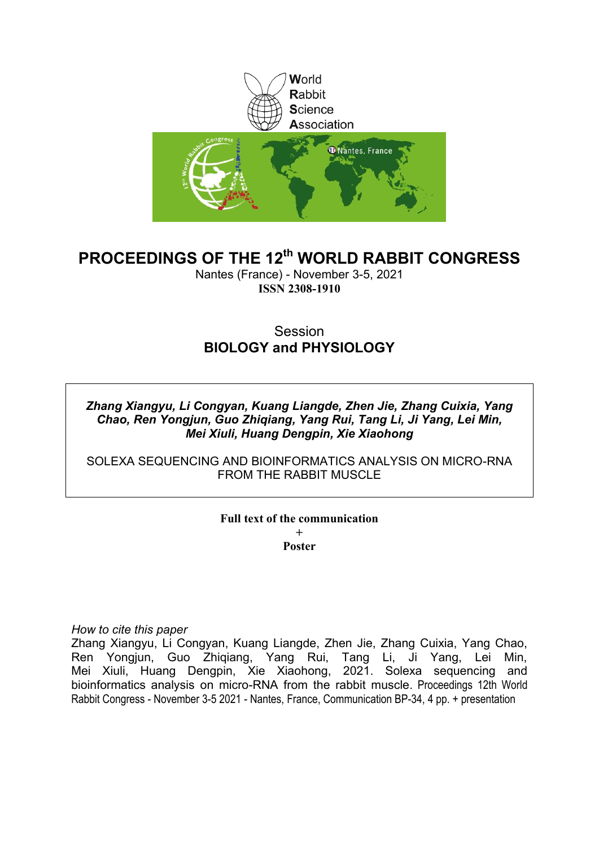

# **PROCEEDINGS OF THE 12th WORLD RABBIT CONGRESS**

Nantes (France) - November 3-5, 2021 **ISSN 2308-1910**

## **Session BIOLOGY and PHYSIOLOGY**

*Zhang Xiangyu, Li Congyan, Kuang Liangde, Zhen Jie, Zhang Cuixia, Yang Chao, Ren Yongjun, Guo Zhiqiang, Yang Rui, Tang Li, Ji Yang, Lei Min, Mei Xiuli, Huang Dengpin, Xie Xiaohong*

SOLEXA SEQUENCING AND BIOINFORMATICS ANALYSIS ON MICRO-RNA FROM THE RABBIT MUSCLE

> **Full text of the communication + Poster**

*How to cite this paper*

Zhang Xiangyu, Li Congyan, Kuang Liangde, Zhen Jie, Zhang Cuixia, Yang Chao, Ren Yongjun, Guo Zhiqiang, Yang Rui, Tang Li, Ji Yang, Lei Min, Mei Xiuli, Huang Dengpin, Xie Xiaohong, 2021. Solexa sequencing and bioinformatics analysis on micro-RNA from the rabbit muscle. Proceedings 12th World Rabbit Congress - November 3-5 2021 - Nantes, France, Communication BP-34, 4 pp. + presentation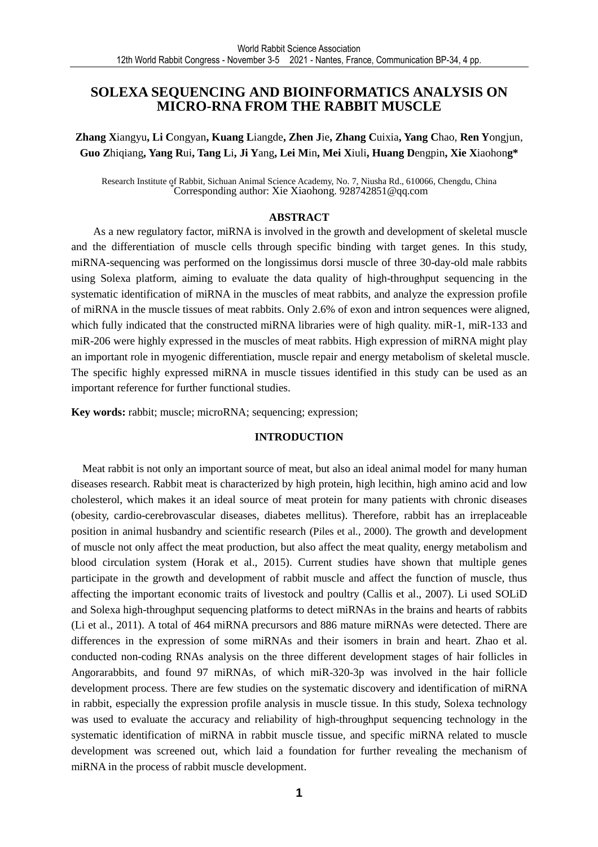## **SOLEXA SEQUENCING AND BIOINFORMATICS ANALYSIS ON MICRO-RNA FROM THE RABBIT MUSCLE**

**Zhang X**iangyu**, Li C**ongyan**, Kuang L**iangde**, Zhen J**ie**, Zhang C**uixia**, Yang C**hao, **Ren Y**ongjun, **Guo Z**hiqiang**, Yang R**ui**, Tang L**i**, Ji Y**ang**, Lei M**in**, Mei X**iuli**, Huang D**engpin**, Xie X**iaohon**g\*** 

Research Institute of Rabbit, Sichuan Animal Science Academy, No. 7, Niusha Rd., 610066, Chengdu, China<br>Corresponding author: Xie Xiaohong. 928742851@qq.com

#### **ABSTRACT**

As a new regulatory factor, miRNA is involved in the growth and development of skeletal muscle and the differentiation of muscle cells through specific binding with target genes. In this study, miRNA-sequencing was performed on the longissimus dorsi muscle of three 30-day-old male rabbits using Solexa platform, aiming to evaluate the data quality of high-throughput sequencing in the systematic identification of miRNA in the muscles of meat rabbits, and analyze the expression profile of miRNA in the muscle tissues of meat rabbits. Only 2.6% of exon and intron sequences were aligned, which fully indicated that the constructed miRNA libraries were of high quality. miR-1, miR-133 and miR-206 were highly expressed in the muscles of meat rabbits. High expression of miRNA might play an important role in myogenic differentiation, muscle repair and energy metabolism of skeletal muscle. The specific highly expressed miRNA in muscle tissues identified in this study can be used as an important reference for further functional studies.

**Key words:** rabbit; muscle; microRNA; sequencing; expression;

#### **INTRODUCTION**

Meat rabbit is not only an important source of meat, but also an ideal animal model for many human diseases research. Rabbit meat is characterized by high protein, high lecithin, high amino acid and low cholesterol, which makes it an ideal source of meat protein for many patients with chronic diseases (obesity, cardio-cerebrovascular diseases, diabetes mellitus). Therefore, rabbit has an irreplaceable position in animal husbandry and scientific research (Piles et al., 2000). The growth and development of muscle not only affect the meat production, but also affect the meat quality, energy metabolism and blood circulation system (Horak et al., 2015). Current studies have shown that multiple genes participate in the growth and development of rabbit muscle and affect the function of muscle, thus affecting the important economic traits of livestock and poultry (Callis et al., 2007). Li used SOLiD and Solexa high-throughput sequencing platforms to detect miRNAs in the brains and hearts of rabbits (Li et al., 2011). A total of 464 miRNA precursors and 886 mature miRNAs were detected. There are differences in the expression of some miRNAs and their isomers in brain and heart. Zhao et al. conducted non-coding RNAs analysis on the three different development stages of hair follicles in Angorarabbits, and found 97 miRNAs, of which miR-320-3p was involved in the hair follicle development process. There are few studies on the systematic discovery and identification of miRNA in rabbit, especially the expression profile analysis in muscle tissue. In this study, Solexa technology was used to evaluate the accuracy and reliability of high-throughput sequencing technology in the systematic identification of miRNA in rabbit muscle tissue, and specific miRNA related to muscle development was screened out, which laid a foundation for further revealing the mechanism of miRNA in the process of rabbit muscle development.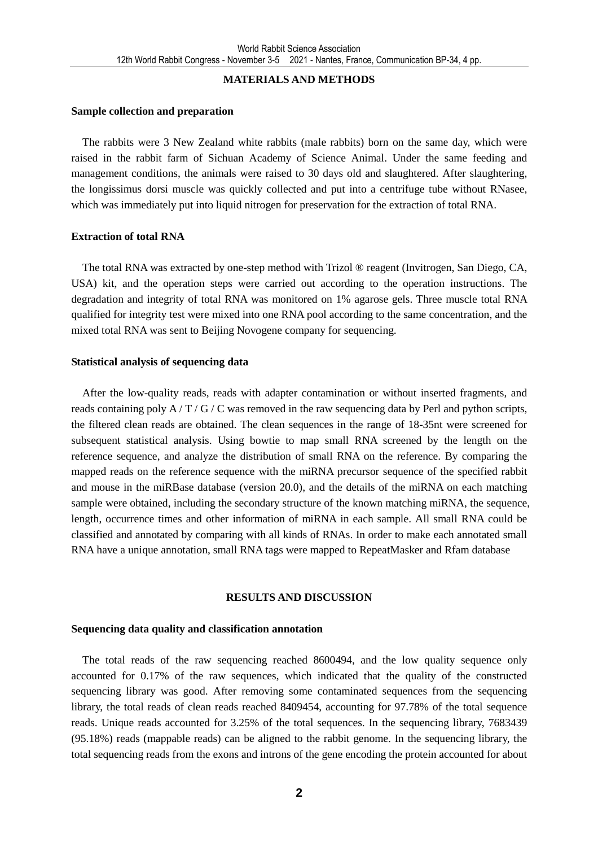#### **MATERIALS AND METHODS**

#### **Sample collection and preparation**

The rabbits were 3 New Zealand white rabbits (male rabbits) born on the same day, which were raised in the rabbit farm of Sichuan Academy of Science Animal. Under the same feeding and management conditions, the animals were raised to 30 days old and slaughtered. After slaughtering, the longissimus dorsi muscle was quickly collected and put into a centrifuge tube without RNasee, which was immediately put into liquid nitrogen for preservation for the extraction of total RNA.

#### **Extraction of total RNA**

The total RNA was extracted by one-step method with Trizol ® reagent (Invitrogen, San Diego, CA, USA) kit, and the operation steps were carried out according to the operation instructions. The degradation and integrity of total RNA was monitored on 1% agarose gels. Three muscle total RNA qualified for integrity test were mixed into one RNA pool according to the same concentration, and the mixed total RNA was sent to Beijing Novogene company for sequencing.

### **Statistical analysis of sequencing data**

After the low-quality reads, reads with adapter contamination or without inserted fragments, and reads containing poly A / T / G / C was removed in the raw sequencing data by Perl and python scripts, the filtered clean reads are obtained. The clean sequences in the range of 18-35nt were screened for subsequent statistical analysis. Using bowtie to map small RNA screened by the length on the reference sequence, and analyze the distribution of small RNA on the reference. By comparing the mapped reads on the reference sequence with the miRNA precursor sequence of the specified rabbit and mouse in the miRBase database (version 20.0), and the details of the miRNA on each matching sample were obtained, including the secondary structure of the known matching miRNA, the sequence, length, occurrence times and other information of miRNA in each sample. All small RNA could be classified and annotated by comparing with all kinds of RNAs. In order to make each annotated small RNA have a unique annotation, small RNA tags were mapped to RepeatMasker and Rfam database

### **RESULTS AND DISCUSSION**

### **Sequencing data quality and classification annotation**

The total reads of the raw sequencing reached 8600494, and the low quality sequence only accounted for 0.17% of the raw sequences, which indicated that the quality of the constructed sequencing library was good. After removing some contaminated sequences from the sequencing library, the total reads of clean reads reached 8409454, accounting for 97.78% of the total sequence reads. Unique reads accounted for 3.25% of the total sequences. In the sequencing library, 7683439 (95.18%) reads (mappable reads) can be aligned to the rabbit genome. In the sequencing library, the total sequencing reads from the exons and introns of the gene encoding the protein accounted for about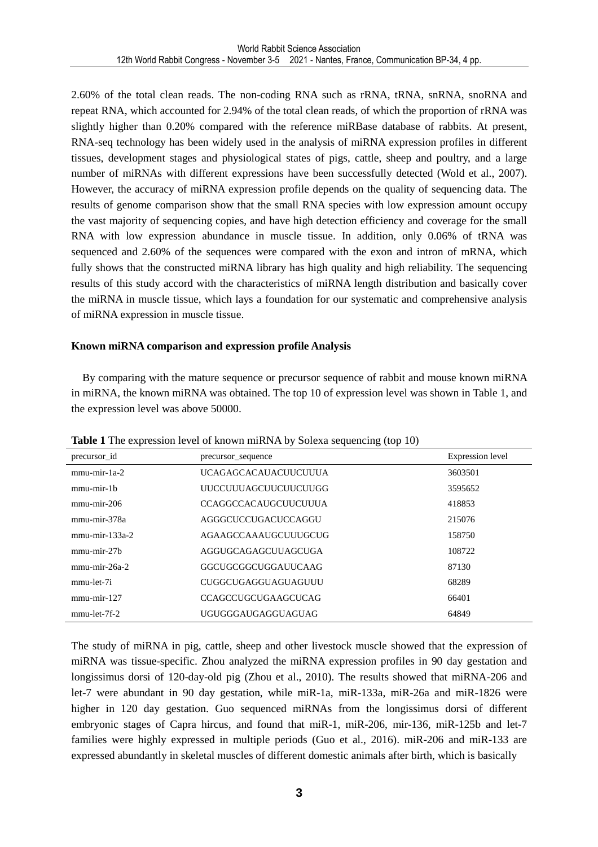2.60% of the total clean reads. The non-coding RNA such as rRNA, tRNA, snRNA, snoRNA and repeat RNA, which accounted for 2.94% of the total clean reads, of which the proportion of rRNA was slightly higher than 0.20% compared with the reference miRBase database of rabbits. At present, RNA-seq technology has been widely used in the analysis of miRNA expression profiles in different tissues, development stages and physiological states of pigs, cattle, sheep and poultry, and a large number of miRNAs with different expressions have been successfully detected (Wold et al., 2007). However, the accuracy of miRNA expression profile depends on the quality of sequencing data. The results of genome comparison show that the small RNA species with low expression amount occupy the vast majority of sequencing copies, and have high detection efficiency and coverage for the small RNA with low expression abundance in muscle tissue. In addition, only 0.06% of tRNA was sequenced and 2.60% of the sequences were compared with the exon and intron of mRNA, which fully shows that the constructed miRNA library has high quality and high reliability. The sequencing results of this study accord with the characteristics of miRNA length distribution and basically cover the miRNA in muscle tissue, which lays a foundation for our systematic and comprehensive analysis of miRNA expression in muscle tissue.

#### **Known miRNA comparison and expression profile Analysis**

By comparing with the mature sequence or precursor sequence of rabbit and mouse known miRNA in miRNA, the known miRNA was obtained. The top 10 of expression level was shown in Table 1, and the expression level was above 50000.

| precursor id      | precursor_sequence          | Expression level |
|-------------------|-----------------------------|------------------|
| $mmu-mir-1a-2$    | <b>UCAGAGCACAUACUUCUUUA</b> | 3603501          |
| $mmu$ -mir-1 $h$  | UUCCUUUAGCUUCUUCUUGG        | 3595652          |
| $mmu-mir-206$     | <b>CCAGGCCACAUGCUUCUULA</b> | 418853           |
| mmu-mir-378a      | AGGGCUCCUGACUCCAGGU         | 215076           |
| $mmu$ -mir-133a-2 | AGAAGCCAAAUGCUUUGCUG        | 158750           |
| $mmu-mir-27b$     | AGGUGCAGAGCUUAGCUGA         | 108722           |
| $mmu-mir-26a-2$   | GGCUGCGGCUGGAUUCAAG         | 87130            |
| mmu-let-7i        | <b>CUGGCUGAGGUAGUAGUUU</b>  | 68289            |
| $mmu$ -mir-127    | <b>CCAGCCUGCUGAAGCUCAG</b>  | 66401            |
| $mmu$ -let-7f-2   | UGUGGGAUGAGGUAGUAG          | 64849            |

**Table 1** The expression level of known miRNA by Solexa sequencing (top 10)

The study of miRNA in pig, cattle, sheep and other livestock muscle showed that the expression of miRNA was tissue-specific. Zhou analyzed the miRNA expression profiles in 90 day gestation and longissimus dorsi of 120-day-old pig (Zhou et al., 2010). The results showed that miRNA-206 and let-7 were abundant in 90 day gestation, while miR-1a, miR-133a, miR-26a and miR-1826 were higher in 120 day gestation. Guo sequenced miRNAs from the longissimus dorsi of different embryonic stages of Capra hircus, and found that miR-1, miR-206, mir-136, miR-125b and let-7 families were highly expressed in multiple periods (Guo et al., 2016). miR-206 and miR-133 are expressed abundantly in skeletal muscles of different domestic animals after birth, which is basically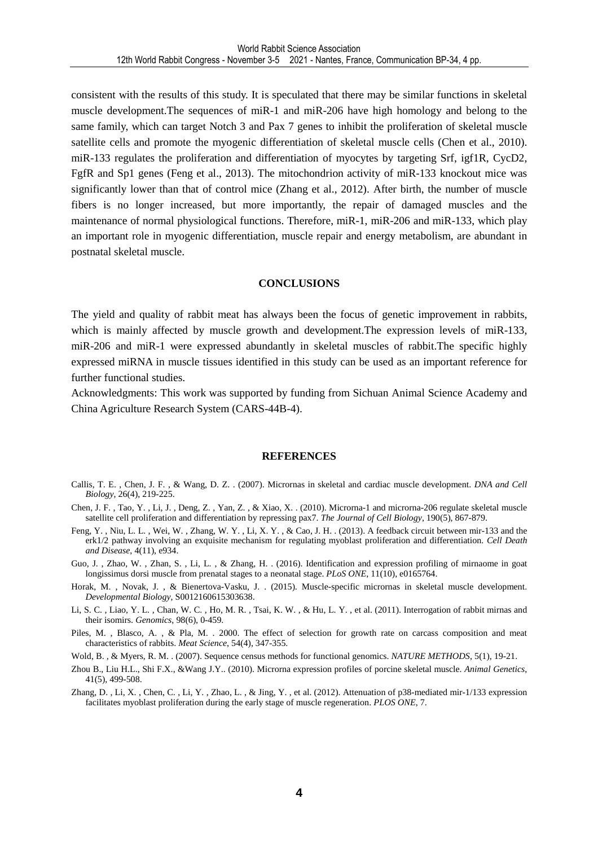consistent with the results of this study. It is speculated that there may be similar functions in skeletal muscle development.The sequences of miR-1 and miR-206 have high homology and belong to the same family, which can target Notch 3 and Pax 7 genes to inhibit the proliferation of skeletal muscle satellite cells and promote the myogenic differentiation of skeletal muscle cells (Chen et al., 2010). miR-133 regulates the proliferation and differentiation of myocytes by targeting Srf, igf1R, CycD2, FgfR and Sp1 genes (Feng et al., 2013). The mitochondrion activity of miR-133 knockout mice was significantly lower than that of control mice (Zhang et al., 2012). After birth, the number of muscle fibers is no longer increased, but more importantly, the repair of damaged muscles and the maintenance of normal physiological functions. Therefore, miR-1, miR-206 and miR-133, which play an important role in myogenic differentiation, muscle repair and energy metabolism, are abundant in postnatal skeletal muscle.

#### **CONCLUSIONS**

The yield and quality of rabbit meat has always been the focus of genetic improvement in rabbits, which is mainly affected by muscle growth and development. The expression levels of miR-133, miR-206 and miR-1 were expressed abundantly in skeletal muscles of rabbit.The specific highly expressed miRNA in muscle tissues identified in this study can be used as an important reference for further functional studies.

Acknowledgments: This work was supported by funding from Sichuan Animal Science Academy and China Agriculture Research System (CARS-44B-4).

#### **REFERENCES**

- Callis, T. E. , Chen, J. F. , & Wang, D. Z. . (2007). Micrornas in skeletal and cardiac muscle development. *DNA and Cell Biology*, 26(4), 219-225.
- Chen, J. F. , Tao, Y. , Li, J. , Deng, Z. , Yan, Z. , & Xiao, X. . (2010). Microrna-1 and microrna-206 regulate skeletal muscle satellite cell proliferation and differentiation by repressing pax7. *The Journal of Cell Biology*, 190(5), 867-879.
- Feng, Y. , Niu, L. L. , Wei, W. , Zhang, W. Y. , Li, X. Y. , & Cao, J. H. . (2013). A feedback circuit between mir-133 and the erk1/2 pathway involving an exquisite mechanism for regulating myoblast proliferation and differentiation. *Cell Death and Disease*, 4(11), e934.
- Guo, J. , Zhao, W. , Zhan, S. , Li, L. , & Zhang, H. . (2016). Identification and expression profiling of mirnaome in goat longissimus dorsi muscle from prenatal stages to a neonatal stage. *PLoS ONE*, 11(10), e0165764.
- Horak, M. , Novak, J. , & Bienertova-Vasku, J. . (2015). Muscle-specific micrornas in skeletal muscle development. *Developmental Biology*, S0012160615303638.
- Li, S. C. , Liao, Y. L. , Chan, W. C. , Ho, M. R. , Tsai, K. W. , & Hu, L. Y. , et al. (2011). Interrogation of rabbit mirnas and their isomirs. *Genomics*, 98(6), 0-459.
- Piles, M., Blasco, A., & Pla, M., 2000. The effect of selection for growth rate on carcass composition and meat characteristics of rabbits. *Meat Science*, 54(4), 347-355.
- Wold, B. , & Myers, R. M. . (2007). Sequence census methods for functional genomics. *NATURE METHODS*, 5(1), 19-21.
- Zhou B., Liu H.L., Shi F.X., &Wang J.Y.. (2010). Microrna expression profiles of porcine skeletal muscle. *Animal Genetics*, 41(5), 499-508.
- Zhang, D. , Li, X. , Chen, C. , Li, Y. , Zhao, L. , & Jing, Y. , et al. (2012). Attenuation of p38-mediated mir-1/133 expression facilitates myoblast proliferation during the early stage of muscle regeneration. *PLOS ONE*, 7.